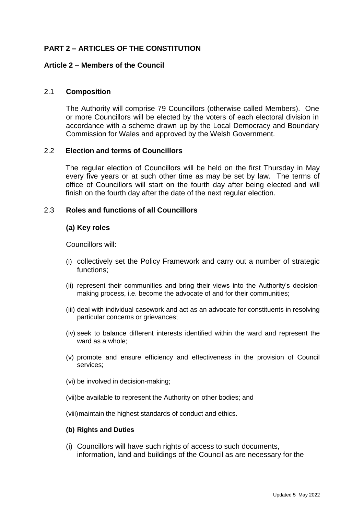# **PART 2 – ARTICLES OF THE CONSTITUTION**

#### **Article 2 – Members of the Council**

#### 2.1 **Composition**

The Authority will comprise 79 Councillors (otherwise called Members). One or more Councillors will be elected by the voters of each electoral division in accordance with a scheme drawn up by the Local Democracy and Boundary Commission for Wales and approved by the Welsh Government.

### 2.2 **Election and terms of Councillors**

The regular election of Councillors will be held on the first Thursday in May every five years or at such other time as may be set by law. The terms of office of Councillors will start on the fourth day after being elected and will finish on the fourth day after the date of the next regular election.

### 2.3 **Roles and functions of all Councillors**

### **(a) Key roles**

Councillors will:

- (i) collectively set the Policy Framework and carry out a number of strategic functions;
- (ii) represent their communities and bring their views into the Authority's decisionmaking process, i.e. become the advocate of and for their communities;
- (iii) deal with individual casework and act as an advocate for constituents in resolving particular concerns or grievances;
- (iv) seek to balance different interests identified within the ward and represent the ward as a whole;
- (v) promote and ensure efficiency and effectiveness in the provision of Council services;
- (vi) be involved in decision-making;
- (vii)be available to represent the Authority on other bodies; and

(viii)maintain the highest standards of conduct and ethics.

#### **(b) Rights and Duties**

(i) Councillors will have such rights of access to such documents, information, land and buildings of the Council as are necessary for the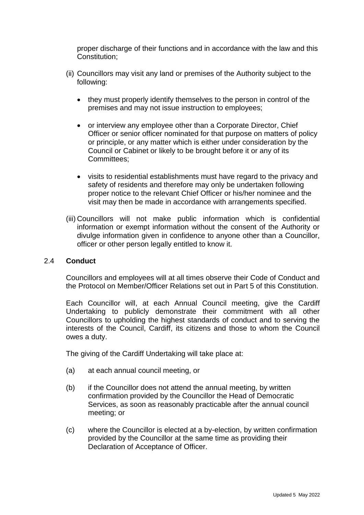proper discharge of their functions and in accordance with the law and this Constitution;

- (ii) Councillors may visit any land or premises of the Authority subject to the following:
	- they must properly identify themselves to the person in control of the premises and may not issue instruction to employees;
	- or interview any employee other than a Corporate Director, Chief Officer or senior officer nominated for that purpose on matters of policy or principle, or any matter which is either under consideration by the Council or Cabinet or likely to be brought before it or any of its Committees;
	- visits to residential establishments must have regard to the privacy and safety of residents and therefore may only be undertaken following proper notice to the relevant Chief Officer or his/her nominee and the visit may then be made in accordance with arrangements specified.
- (iii) Councillors will not make public information which is confidential information or exempt information without the consent of the Authority or divulge information given in confidence to anyone other than a Councillor, officer or other person legally entitled to know it.

## 2.4 **Conduct**

Councillors and employees will at all times observe their Code of Conduct and the Protocol on Member/Officer Relations set out in Part 5 of this Constitution.

Each Councillor will, at each Annual Council meeting, give the Cardiff Undertaking to publicly demonstrate their commitment with all other Councillors to upholding the highest standards of conduct and to serving the interests of the Council, Cardiff, its citizens and those to whom the Council owes a duty.

The giving of the Cardiff Undertaking will take place at:

- (a) at each annual council meeting, or
- (b) if the Councillor does not attend the annual meeting, by written confirmation provided by the Councillor the Head of Democratic Services, as soon as reasonably practicable after the annual council meeting; or
- (c) where the Councillor is elected at a by-election, by written confirmation provided by the Councillor at the same time as providing their Declaration of Acceptance of Officer.